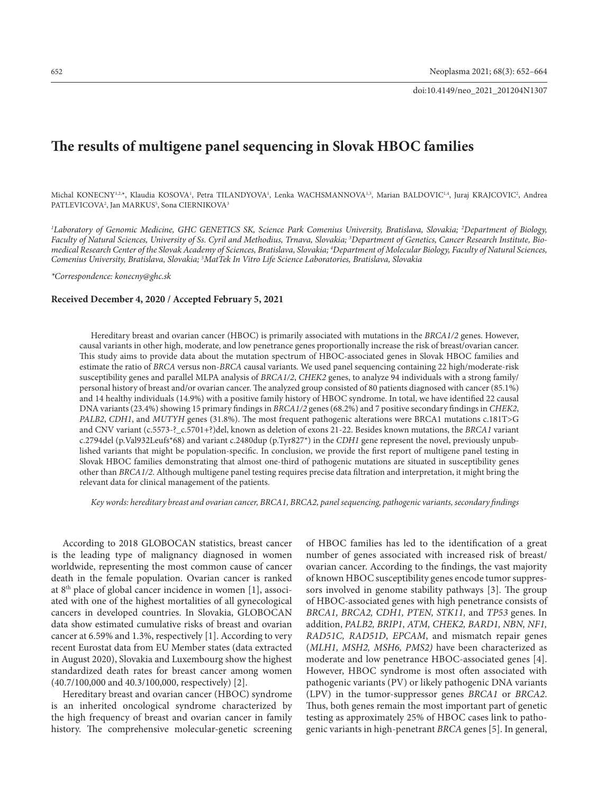doi:10.4149/neo\_2021\_201204N1307

# **The results of multigene panel sequencing in Slovak HBOC families**

Michal KONECNY<sup>1,2,</sup>\*, Klaudia KOSOVA<sup>1</sup>, Petra TILANDYOVA<sup>1</sup>, Lenka WACHSMANNOVA<sup>1,3</sup>, Marian BALDOVIC<sup>1,4</sup>, Juraj KRAJCOVIC<sup>2</sup>, Andrea PATLEVICOVA<sup>2</sup>, Jan MARKUS<sup>5</sup>, Sona CIERNIKOVA<sup>3</sup>

*1 Laboratory of Genomic Medicine, GHC GENETICS SK, Science Park Comenius University, Bratislava, Slovakia; 2 Department of Biology, Faculty of Natural Sciences, University of Ss. Cyril and Methodius, Trnava, Slovakia; 3 Department of Genetics, Cancer Research Institute, Bio*medical Research Center of the Slovak Academy of Sciences, Bratislava, Slovakia; <sup>4</sup>Department of Molecular Biology, Faculty of Natural Sciences, *Comenius University, Bratislava, Slovakia; 5 MatTek In Vitro Life Science Laboratories, Bratislava, Slovakia* 

*\*Correspondence: konecny@ghc.sk* 

#### **Received December 4, 2020 / Accepted February 5, 2021**

Hereditary breast and ovarian cancer (HBOC) is primarily associated with mutations in the *BRCA1/2* genes. However, causal variants in other high, moderate, and low penetrance genes proportionally increase the risk of breast/ovarian cancer. This study aims to provide data about the mutation spectrum of HBOC-associated genes in Slovak HBOC families and estimate the ratio of *BRCA* versus non-*BRCA* causal variants. We used panel sequencing containing 22 high/moderate-risk susceptibility genes and parallel MLPA analysis of *BRCA1/2*, *CHEK2* genes, to analyze 94 individuals with a strong family/ personal history of breast and/or ovarian cancer. The analyzed group consisted of 80 patients diagnosed with cancer (85.1%) and 14 healthy individuals (14.9%) with a positive family history of HBOC syndrome. In total, we have identified 22 causal DNA variants (23.4%) showing 15 primary findings in *BRCA1/2* genes (68.2%) and 7 positive secondary findings in *CHEK2*, *PALB2*, *CDH1*, and *MUTYH* genes (31.8%). The most frequent pathogenic alterations were BRCA1 mutations c.181T>G and CNV variant (c.5573-?\_c.5701+?)del, known as deletion of exons 21-22. Besides known mutations, the *BRCA1* variant c.2794del (p.Val932Leufs\*68) and variant c.2480dup (p.Tyr827\*) in the *CDH1* gene represent the novel, previously unpublished variants that might be population-specific. In conclusion, we provide the first report of multigene panel testing in Slovak HBOC families demonstrating that almost one-third of pathogenic mutations are situated in susceptibility genes other than *BRCA1/2*. Although multigene panel testing requires precise data filtration and interpretation, it might bring the relevant data for clinical management of the patients.

*Key words: hereditary breast and ovarian cancer, BRCA1, BRCA2, panel sequencing, pathogenic variants, secondary findings*

According to 2018 GLOBOCAN statistics, breast cancer is the leading type of malignancy diagnosed in women worldwide, representing the most common cause of cancer death in the female population. Ovarian cancer is ranked at 8th place of global cancer incidence in women [1], associated with one of the highest mortalities of all gynecological cancers in developed countries. In Slovakia, GLOBOCAN data show estimated cumulative risks of breast and ovarian cancer at 6.59% and 1.3%, respectively [1]. According to very recent Eurostat data from EU Member states (data extracted in August 2020), Slovakia and Luxembourg show the highest standardized death rates for breast cancer among women (40.7/100,000 and 40.3/100,000, respectively) [2].

Hereditary breast and ovarian cancer (HBOC) syndrome is an inherited oncological syndrome characterized by the high frequency of breast and ovarian cancer in family history. The comprehensive molecular-genetic screening of HBOC families has led to the identification of a great number of genes associated with increased risk of breast/ ovarian cancer. According to the findings, the vast majority of known HBOC susceptibility genes encode tumor suppressors involved in genome stability pathways [3]. The group of HBOC-associated genes with high penetrance consists of *BRCA1, BRCA2, CDH1, PTEN, STK11,* and *TP53* genes. In addition, *PALB2, BRIP1, ATM, CHEK2, BARD1, NBN, NF1, RAD51C, RAD51D*, *EPCAM*, and mismatch repair genes (*MLH1, MSH2, MSH6, PMS2)* have been characterized as moderate and low penetrance HBOC-associated genes [4]. However, HBOC syndrome is most often associated with pathogenic variants (PV) or likely pathogenic DNA variants (LPV) in the tumor-suppressor genes *BRCA1* or *BRCA2*. Thus, both genes remain the most important part of genetic testing as approximately 25% of HBOC cases link to pathogenic variants in high-penetrant *BRCA* genes [5]. In general,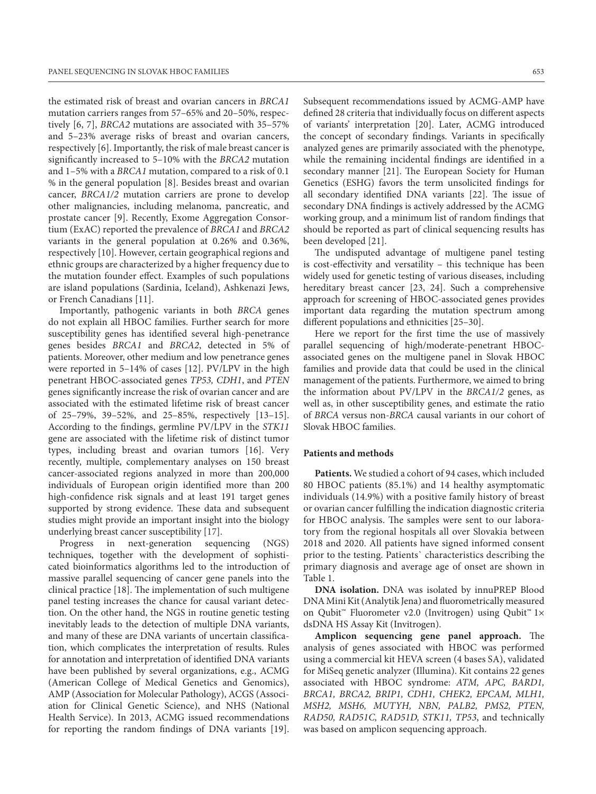the estimated risk of breast and ovarian cancers in *BRCA1* mutation carriers ranges from 57–65% and 20–50%, respectively [6, 7], *BRCA2* mutations are associated with 35–57% and 5–23% average risks of breast and ovarian cancers, respectively [6]. Importantly, the risk of male breast cancer is significantly increased to 5–10% with the *BRCA2* mutation and 1–5% with a *BRCA1* mutation, compared to a risk of 0.1 % in the general population [8]. Besides breast and ovarian cancer, *BRCA1/2* mutation carriers are prone to develop other malignancies, including melanoma, pancreatic, and prostate cancer [9]. Recently, Exome Aggregation Consortium (ExAC) reported the prevalence of *BRCA1* and *BRCA2* variants in the general population at 0.26% and 0.36%, respectively [10]. However, certain geographical regions and ethnic groups are characterized by a higher frequency due to the mutation founder effect. Examples of such populations are island populations (Sardinia, Iceland), Ashkenazi Jews, or French Canadians [11].

Importantly, pathogenic variants in both *BRCA* genes do not explain all HBOC families. Further search for more susceptibility genes has identified several high-penetrance genes besides *BRCA1* and *BRCA2*, detected in 5% of patients. Moreover, other medium and low penetrance genes were reported in 5–14% of cases [12]. PV/LPV in the high penetrant HBOC-associated genes *TP53, CDH1*, and *PTEN* genes significantly increase the risk of ovarian cancer and are associated with the estimated lifetime risk of breast cancer of 25–79%, 39–52%, and 25–85%, respectively [13–15]. According to the findings, germline PV/LPV in the *STK11* gene are associated with the lifetime risk of distinct tumor types, including breast and ovarian tumors [16]. Very recently, multiple, complementary analyses on 150 breast cancer-associated regions analyzed in more than 200,000 individuals of European origin identified more than 200 high-confidence risk signals and at least 191 target genes supported by strong evidence. These data and subsequent studies might provide an important insight into the biology underlying breast cancer susceptibility [17].

Progress in next-generation sequencing (NGS) techniques, together with the development of sophisticated bioinformatics algorithms led to the introduction of massive parallel sequencing of cancer gene panels into the clinical practice [18]. The implementation of such multigene panel testing increases the chance for causal variant detection. On the other hand, the NGS in routine genetic testing inevitably leads to the detection of multiple DNA variants, and many of these are DNA variants of uncertain classification, which complicates the interpretation of results. Rules for annotation and interpretation of identified DNA variants have been published by several organizations, e.g., ACMG (American College of Medical Genetics and Genomics), AMP (Association for Molecular Pathology), ACGS (Association for Clinical Genetic Science), and NHS (National Health Service). In 2013, ACMG issued recommendations for reporting the random findings of DNA variants [19].

Subsequent recommendations issued by ACMG-AMP have defined 28 criteria that individually focus on different aspects of variants' interpretation [20]. Later, ACMG introduced the concept of secondary findings. Variants in specifically analyzed genes are primarily associated with the phenotype, while the remaining incidental findings are identified in a secondary manner [21]. The European Society for Human Genetics (ESHG) favors the term unsolicited findings for all secondary identified DNA variants [22]. The issue of secondary DNA findings is actively addressed by the ACMG working group, and a minimum list of random findings that should be reported as part of clinical sequencing results has been developed [21].

The undisputed advantage of multigene panel testing is cost-effectivity and versatility – this technique has been widely used for genetic testing of various diseases, including hereditary breast cancer [23, 24]. Such a comprehensive approach for screening of HBOC-associated genes provides important data regarding the mutation spectrum among different populations and ethnicities [25–30].

Here we report for the first time the use of massively parallel sequencing of high/moderate-penetrant HBOCassociated genes on the multigene panel in Slovak HBOC families and provide data that could be used in the clinical management of the patients. Furthermore, we aimed to bring the information about PV/LPV in the *BRCA1/2* genes, as well as, in other susceptibility genes, and estimate the ratio of *BRCA* versus non*-BRCA* causal variants in our cohort of Slovak HBOC families.

# **Patients and methods**

**Patients.** We studied a cohort of 94 cases, which included 80 HBOC patients (85.1%) and 14 healthy asymptomatic individuals (14.9%) with a positive family history of breast or ovarian cancer fulfilling the indication diagnostic criteria for HBOC analysis. The samples were sent to our laboratory from the regional hospitals all over Slovakia between 2018 and 2020. All patients have signed informed consent prior to the testing. Patients` characteristics describing the primary diagnosis and average age of onset are shown in Table 1.

**DNA isolation.** DNA was isolated by innuPREP Blood DNA Mini Kit (Analytik Jena) and fluorometrically measured on Qubit™ Fluorometer v2.0 (Invitrogen) using Qubit™ 1× dsDNA HS Assay Kit (Invitrogen).

**Amplicon sequencing gene panel approach.** The analysis of genes associated with HBOC was performed using a commercial kit HEVA screen (4 bases SA), validated for MiSeq genetic analyzer (Illumina). Kit contains 22 genes associated with HBOC syndrome: *ATM, APC, BARD1, BRCA1, BRCA2, BRIP1, CDH1, CHEK2, EPCAM, MLH1, MSH2, MSH6, MUTYH, NBN, PALB2, PMS2, PTEN, RAD50, RAD51C, RAD51D, STK11, TP53*, and technically was based on amplicon sequencing approach.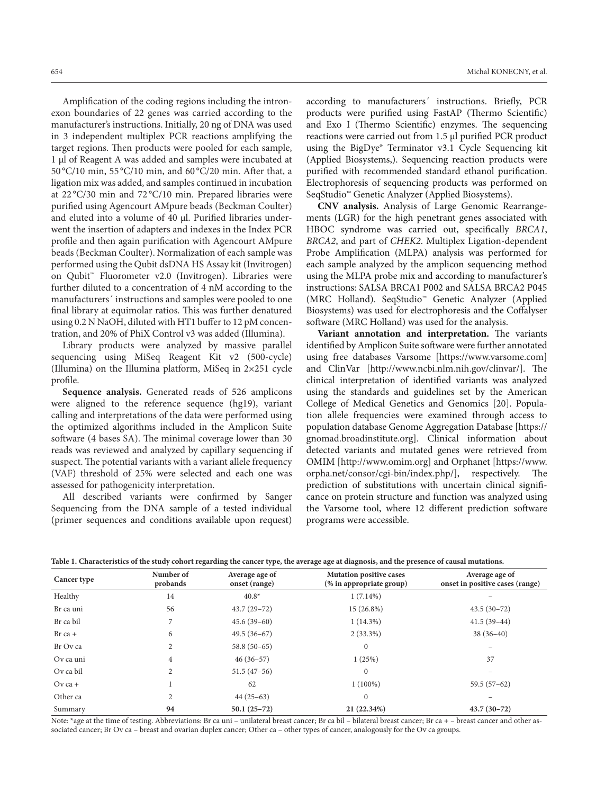Amplification of the coding regions including the intronexon boundaries of 22 genes was carried according to the manufacturer's instructions. Initially, 20 ng of DNA was used in 3 independent multiplex PCR reactions amplifying the target regions. Then products were pooled for each sample, 1 µl of Reagent A was added and samples were incubated at 50 °C/10 min, 55 °C/10 min, and 60 °C/20 min. After that, a ligation mix was added, and samples continued in incubation at 22 °C/30 min and 72 °C/10 min. Prepared libraries were purified using Agencourt AMpure beads (Beckman Coulter) and eluted into a volume of 40 µl. Purified libraries underwent the insertion of adapters and indexes in the Index PCR profile and then again purification with Agencourt AMpure beads (Beckman Coulter). Normalization of each sample was performed using the Qubit dsDNA HS Assay kit (Invitrogen) on Qubit™ Fluorometer v2.0 (Invitrogen). Libraries were further diluted to a concentration of 4 nM according to the manufacturers´ instructions and samples were pooled to one final library at equimolar ratios. This was further denatured using 0.2 N NaOH, diluted with HT1 buffer to 12 pM concentration, and 20% of PhiX Control v3 was added (Illumina).

Library products were analyzed by massive parallel sequencing using MiSeq Reagent Kit v2 (500-cycle) (Illumina) on the Illumina platform, MiSeq in 2×251 cycle profile.

**Sequence analysis.** Generated reads of 526 amplicons were aligned to the reference sequence (hg19), variant calling and interpretations of the data were performed using the optimized algorithms included in the Amplicon Suite software (4 bases SA). The minimal coverage lower than 30 reads was reviewed and analyzed by capillary sequencing if suspect. The potential variants with a variant allele frequency (VAF) threshold of 25% were selected and each one was assessed for pathogenicity interpretation.

All described variants were confirmed by Sanger Sequencing from the DNA sample of a tested individual (primer sequences and conditions available upon request)

according to manufacturers´ instructions. Briefly, PCR products were purified using FastAP (Thermo Scientific) and Exo I (Thermo Scientific) enzymes. The sequencing reactions were carried out from 1.5 μl purified PCR product using the BigDye® Terminator v3.1 Cycle Sequencing kit (Applied Biosystems,). Sequencing reaction products were

SeqStudio™ Genetic Analyzer (Applied Biosystems). **CNV analysis.** Analysis of Large Genomic Rearrangements (LGR) for the high penetrant genes associated with HBOC syndrome was carried out, specifically *BRCA1*, *BRCA2*, and part of *CHEK2*. Multiplex Ligation-dependent Probe Amplification (MLPA) analysis was performed for each sample analyzed by the amplicon sequencing method using the MLPA probe mix and according to manufacturer's instructions: SALSA BRCA1 P002 and SALSA BRCA2 P045 (MRC Holland). SeqStudio™ Genetic Analyzer (Applied Biosystems) was used for electrophoresis and the Coffalyser software (MRC Holland) was used for the analysis.

purified with recommended standard ethanol purification. Electrophoresis of sequencing products was performed on

**Variant annotation and interpretation.** The variants identified by Amplicon Suite software were further annotated using free databases Varsome [https://www.varsome.com] and ClinVar [http://www.ncbi.nlm.nih.gov/clinvar/]. The clinical interpretation of identified variants was analyzed using the standards and guidelines set by the American College of Medical Genetics and Genomics [20]. Population allele frequencies were examined through access to population database Genome Aggregation Database [https:// gnomad.broadinstitute.org]. Clinical information about detected variants and mutated genes were retrieved from OMIM [http://www.omim.org] and Orphanet [https://www. orpha.net/consor/cgi-bin/index.php/], respectively. The prediction of substitutions with uncertain clinical significance on protein structure and function was analyzed using the Varsome tool, where 12 different prediction software programs were accessible.

| Cancer type | Number of<br>probands | Average age of<br>onset (range) | <b>Mutation positive cases</b><br>(% in appropriate group) | Average age of<br>onset in positive cases (range) |
|-------------|-----------------------|---------------------------------|------------------------------------------------------------|---------------------------------------------------|
| Healthy     | 14                    | $40.8*$                         | $1(7.14\%)$                                                |                                                   |
| Br ca uni   | 56                    | $43.7(29-72)$                   | 15 (26.8%)                                                 | $43.5(30-72)$                                     |
| Br ca bil   |                       | $45.6(39-60)$                   | $1(14.3\%)$                                                | $41.5(39-44)$                                     |
| $Br$ ca +   | 6                     | $49.5(36-67)$                   | $2(33.3\%)$                                                | $38(36-40)$                                       |
| Br Ov ca    | 2                     | $58.8(50-65)$                   | $\mathbf{0}$                                               |                                                   |
| Ov ca uni   | 4                     | $46(36-57)$                     | 1(25%)                                                     | 37                                                |
| Ov ca bil   |                       | $51.5(47-56)$                   | $\mathbf{0}$                                               | $\overline{\phantom{0}}$                          |
| $Ov$ ca +   |                       | 62                              | $1(100\%)$                                                 | $59.5(57-62)$                                     |
| Other ca    | 2                     | $44(25-63)$                     | $\mathbf{0}$                                               |                                                   |
| Summary     | 94                    | $50.1(25-72)$                   | 21 (22.34%)                                                | $43.7(30-72)$                                     |

**Table 1. Characteristics of the study cohort regarding the cancer type, the average age at diagnosis, and the presence of causal mutations.**

Note: \*age at the time of testing. Abbreviations: Br ca uni – unilateral breast cancer; Br ca bil – bilateral breast cancer; Br ca + – breast cancer and other associated cancer; Br Ov ca – breast and ovarian duplex cancer; Other ca – other types of cancer, analogously for the Ov ca groups.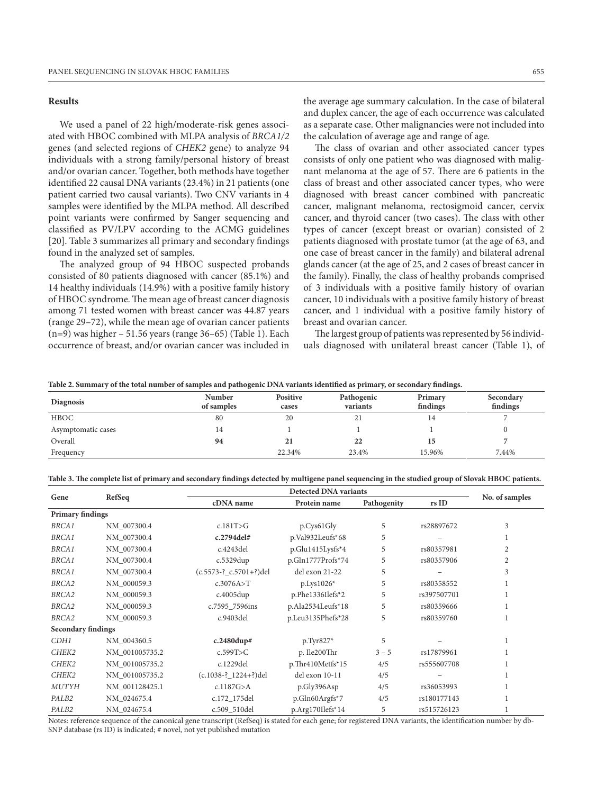# **Results**

We used a panel of 22 high/moderate-risk genes associated with HBOC combined with MLPA analysis of *BRCA1/2* genes (and selected regions of *CHEK2* gene) to analyze 94 individuals with a strong family/personal history of breast and/or ovarian cancer. Together, both methods have together identified 22 causal DNA variants (23.4%) in 21 patients (one patient carried two causal variants). Two CNV variants in 4 samples were identified by the MLPA method. All described point variants were confirmed by Sanger sequencing and classified as PV/LPV according to the ACMG guidelines [20]. Table 3 summarizes all primary and secondary findings found in the analyzed set of samples.

The analyzed group of 94 HBOC suspected probands consisted of 80 patients diagnosed with cancer (85.1%) and 14 healthy individuals (14.9%) with a positive family history of HBOC syndrome. The mean age of breast cancer diagnosis among 71 tested women with breast cancer was 44.87 years (range 29–72), while the mean age of ovarian cancer patients  $(n=9)$  was higher – 51.56 years (range 36–65) (Table 1). Each occurrence of breast, and/or ovarian cancer was included in the average age summary calculation. In the case of bilateral and duplex cancer, the age of each occurrence was calculated as a separate case. Other malignancies were not included into the calculation of average age and range of age.

The class of ovarian and other associated cancer types consists of only one patient who was diagnosed with malignant melanoma at the age of 57. There are 6 patients in the class of breast and other associated cancer types, who were diagnosed with breast cancer combined with pancreatic cancer, malignant melanoma, rectosigmoid cancer, cervix cancer, and thyroid cancer (two cases). The class with other types of cancer (except breast or ovarian) consisted of 2 patients diagnosed with prostate tumor (at the age of 63, and one case of breast cancer in the family) and bilateral adrenal glands cancer (at the age of 25, and 2 cases of breast cancer in the family). Finally, the class of healthy probands comprised of 3 individuals with a positive family history of ovarian cancer, 10 individuals with a positive family history of breast cancer, and 1 individual with a positive family history of breast and ovarian cancer.

The largest group of patients was represented by 56 individuals diagnosed with unilateral breast cancer (Table 1), of

| Table 2. Summary of the total number of samples and pathogenic DNA variants identified as primary, or secondary findings. |
|---------------------------------------------------------------------------------------------------------------------------|
|---------------------------------------------------------------------------------------------------------------------------|

| <b>Diagnosis</b>   | Number<br>of samples | Positive<br>cases | Pathogenic<br>variants | $\sim$<br>Primary<br>findings | Secondary<br>findings |
|--------------------|----------------------|-------------------|------------------------|-------------------------------|-----------------------|
| HBOC               | 80                   | 20                | $\gamma$<br>∠⊥         | 14                            |                       |
| Asymptomatic cases | 14                   |                   |                        |                               |                       |
| Overall            | 94                   | 21                | 22                     | 15                            |                       |
| Frequency          |                      | 22.34%            | 23.4%                  | 15.96%                        | 7.44%                 |

**Table 3. The complete list of primary and secondary findings detected by multigene panel sequencing in the studied group of Slovak HBOC patients.**

| Gene                      | RefSeq         |                               | <b>Detected DNA variants</b> |             |             |                |  |  |
|---------------------------|----------------|-------------------------------|------------------------------|-------------|-------------|----------------|--|--|
|                           |                | cDNA name                     | Protein name                 | Pathogenity | rs ID       | No. of samples |  |  |
| <b>Primary findings</b>   |                |                               |                              |             |             |                |  |  |
| <b>BRCA1</b>              | NM_007300.4    | c.181T>G                      | p.Cys61Gly                   | 5           | rs28897672  | 3              |  |  |
| <b>BRCA1</b>              | NM 007300.4    | $c.2794$ del#                 | p.Val932Leufs*68             | 5           |             |                |  |  |
| <b>BRCA1</b>              | NM 007300.4    | c.4243del                     | p.Glu1415Lysfs*4             | 5           | rs80357981  | $\overline{2}$ |  |  |
| <b>BRCA1</b>              | NM_007300.4    | c.5329dup                     | p.Gln1777Profs*74            | 5           | rs80357906  | $\overline{2}$ |  |  |
| <b>BRCA1</b>              | NM 007300.4    | $(c.5573 - ? c.5701 + ?)$ del | del exon 21-22               | 5           |             | 3              |  |  |
| BRCA2                     | NM 000059.3    | c.3076A > T                   | $p.Lys1026*$                 | 5           | rs80358552  |                |  |  |
| BRCA2                     | NM_000059.3    | $c.4005$ dup                  | $p.Phe1336$ Ilefs*2          | 5           | rs397507701 |                |  |  |
| BRCA2                     | NM_000059.3    | c.7595_7596ins                | p.Ala2534Leufs*18            | 5           | rs80359666  |                |  |  |
| BRCA2                     | NM_000059.3    | c.9403del                     | p.Leu3135Phefs*28            | 5           | rs80359760  |                |  |  |
| <b>Secondary findings</b> |                |                               |                              |             |             |                |  |  |
| CDH1                      | NM 004360.5    | $c.2480$ dup#                 | $p.Tyr827*$                  | 5           |             |                |  |  |
| CHEK2                     | NM 001005735.2 | c.599T>C                      | p. Ile200Thr                 | $3 - 5$     | rs17879961  |                |  |  |
| CHEK2                     | NM 001005735.2 | c.1229del                     | p.Thr410Metfs*15             | 4/5         | rs555607708 |                |  |  |
| CHEK2                     | NM 001005735.2 | (c.1038-?_1224+?)del          | del exon 10-11               | 4/5         |             |                |  |  |
| <b>MUTYH</b>              | NM_001128425.1 | c.1187G > A                   | p.Gly396Asp                  | 4/5         | rs36053993  |                |  |  |
| PALB <sub>2</sub>         | NM_024675.4    | c.172_175del                  | $p.Gln60Argfs*7$             | 4/5         | rs180177143 |                |  |  |
| PALB2                     | NM_024675.4    | c.509_510del                  | p.Arg170Ilefs*14             | 5           | rs515726123 |                |  |  |

Notes: reference sequence of the canonical gene transcript (RefSeq) is stated for each gene; for registered DNA variants, the identification number by db-SNP database (rs ID) is indicated; # novel, not yet published mutation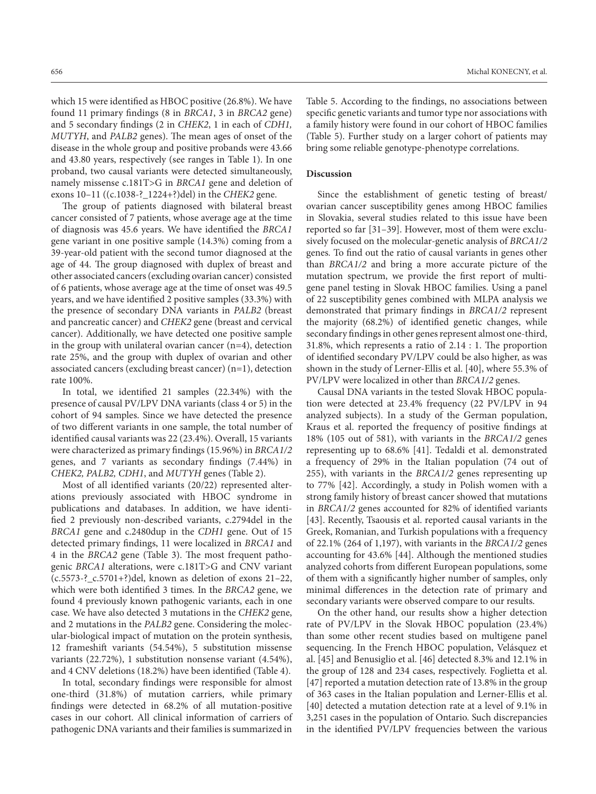which 15 were identified as HBOC positive (26.8%). We have found 11 primary findings (8 in *BRCA1*, 3 in *BRCA2* gene) and 5 secondary findings (2 in *CHEK2*, 1 in each of *CDH1, MUTYH*, and *PALB2* genes). The mean ages of onset of the disease in the whole group and positive probands were 43.66 and 43.80 years, respectively (see ranges in Table 1). In one proband, two causal variants were detected simultaneously, namely missense c.181T>G in *BRCA1* gene and deletion of exons 10–11 ((c.1038-?\_1224+?)del) in the *CHEK2* gene.

The group of patients diagnosed with bilateral breast cancer consisted of 7 patients, whose average age at the time of diagnosis was 45.6 years. We have identified the *BRCA1* gene variant in one positive sample (14.3%) coming from a 39-year-old patient with the second tumor diagnosed at the age of 44. The group diagnosed with duplex of breast and other associated cancers (excluding ovarian cancer) consisted of 6 patients, whose average age at the time of onset was 49.5 years, and we have identified 2 positive samples (33.3%) with the presence of secondary DNA variants in *PALB2* (breast and pancreatic cancer) and *CHEK2* gene (breast and cervical cancer). Additionally, we have detected one positive sample in the group with unilateral ovarian cancer  $(n=4)$ , detection rate 25%, and the group with duplex of ovarian and other associated cancers (excluding breast cancer) (n=1), detection rate 100%.

In total, we identified 21 samples (22.34%) with the presence of causal PV/LPV DNA variants (class 4 or 5) in the cohort of 94 samples. Since we have detected the presence of two different variants in one sample, the total number of identified causal variants was 22 (23.4%). Overall, 15 variants were characterized as primary findings (15.96%) in *BRCA1/2* genes, and 7 variants as secondary findings (7.44%) in *CHEK2, PALB2, CDH1*, and *MUTYH* genes (Table 2).

Most of all identified variants (20/22) represented alterations previously associated with HBOC syndrome in publications and databases. In addition, we have identified 2 previously non-described variants, c.2794del in the *BRCA1* gene and c.2480dup in the *CDH1* gene. Out of 15 detected primary findings, 11 were localized in *BRCA1* and 4 in the *BRCA2* gene (Table 3). The most frequent pathogenic *BRCA1* alterations, were c.181T>G and CNV variant (c.5573-?\_c.5701+?)del, known as deletion of exons 21–22, which were both identified 3 times*.* In the *BRCA2* gene, we found 4 previously known pathogenic variants, each in one case. We have also detected 3 mutations in the *CHEK2* gene, and 2 mutations in the *PALB2* gene. Considering the molecular-biological impact of mutation on the protein synthesis, 12 frameshift variants (54.54%), 5 substitution missense variants (22.72%), 1 substitution nonsense variant (4.54%), and 4 CNV deletions (18.2%) have been identified (Table 4).

In total, secondary findings were responsible for almost one-third (31.8%) of mutation carriers, while primary findings were detected in 68.2% of all mutation-positive cases in our cohort. All clinical information of carriers of pathogenic DNA variants and their families is summarized in

Table 5. According to the findings, no associations between specific genetic variants and tumor type nor associations with a family history were found in our cohort of HBOC families (Table 5). Further study on a larger cohort of patients may bring some reliable genotype-phenotype correlations.

### **Discussion**

Since the establishment of genetic testing of breast/ ovarian cancer susceptibility genes among HBOC families in Slovakia, several studies related to this issue have been reported so far [31–39]. However, most of them were exclusively focused on the molecular-genetic analysis of *BRCA1/2*  genes*.* To find out the ratio of causal variants in genes other than *BRCA1/2* and bring a more accurate picture of the mutation spectrum, we provide the first report of multigene panel testing in Slovak HBOC families. Using a panel of 22 susceptibility genes combined with MLPA analysis we demonstrated that primary findings in *BRCA1/2* represent the majority (68.2%) of identified genetic changes, while secondary findings in other genes represent almost one-third, 31.8%, which represents a ratio of 2.14 : 1. The proportion of identified secondary PV/LPV could be also higher, as was shown in the study of Lerner-Ellis et al. [40], where 55.3% of PV/LPV were localized in other than *BRCA1/2* genes.

Causal DNA variants in the tested Slovak HBOC population were detected at 23.4% frequency (22 PV/LPV in 94 analyzed subjects). In a study of the German population, Kraus et al. reported the frequency of positive findings at 18% (105 out of 581), with variants in the *BRCA1/2* genes representing up to 68.6% [41]. Tedaldi et al. demonstrated a frequency of 29% in the Italian population (74 out of 255), with variants in the *BRCA1/2* genes representing up to 77% [42]. Accordingly, a study in Polish women with a strong family history of breast cancer showed that mutations in *BRCA1/2* genes accounted for 82% of identified variants [43]. Recently, Tsaousis et al. reported causal variants in the Greek, Romanian, and Turkish populations with a frequency of 22.1% (264 of 1,197), with variants in the *BRCA1/2* genes accounting for 43.6% [44]. Although the mentioned studies analyzed cohorts from different European populations, some of them with a significantly higher number of samples, only minimal differences in the detection rate of primary and secondary variants were observed compare to our results.

On the other hand, our results show a higher detection rate of PV/LPV in the Slovak HBOC population (23.4%) than some other recent studies based on multigene panel sequencing. In the French HBOC population, Velásquez et al. [45] and Benusiglio et al. [46] detected 8.3% and 12.1% in the group of 128 and 234 cases, respectively. Foglietta et al. [47] reported a mutation detection rate of 13.8% in the group of 363 cases in the Italian population and Lerner-Ellis et al. [40] detected a mutation detection rate at a level of 9.1% in 3,251 cases in the population of Ontario. Such discrepancies in the identified PV/LPV frequencies between the various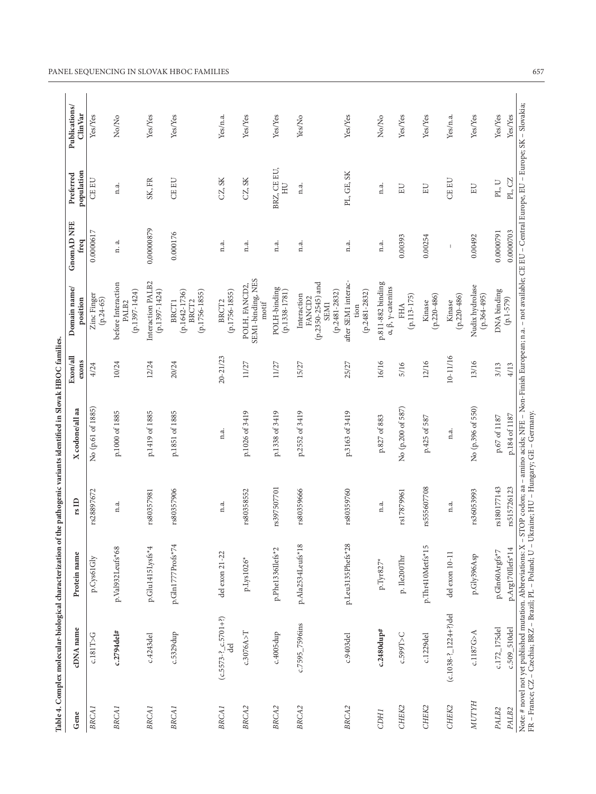|                   | Table 4. Complex molecular-biological characterization of the pathogenic variants identified in Slovak HBOC families |                           |             |                                                                                                                                                     |                   |                                                                                         |                           |                         |                                      |
|-------------------|----------------------------------------------------------------------------------------------------------------------|---------------------------|-------------|-----------------------------------------------------------------------------------------------------------------------------------------------------|-------------------|-----------------------------------------------------------------------------------------|---------------------------|-------------------------|--------------------------------------|
| Gene              | cDNA name                                                                                                            | Protein name              | rsID        | X codone/all aa                                                                                                                                     | Exon/all<br>exons | Domain name/<br>position                                                                | <b>GnomAD NFE</b><br>freq | population<br>Preferred | Publications/<br>$\dim \mathrm{Var}$ |
| BRCA <sub>1</sub> | $c.181T>$ G                                                                                                          | p.Cys61Gly                | rs28897672  | No (p.61 of 1885)                                                                                                                                   | 4/24              | Zinc Finger<br>$(p.24-65)$                                                              | 0.0000617                 | <b>CEEU</b>             | Yes/Yes                              |
| <b>BRCA1</b>      | c.2794del#                                                                                                           | p.Val932Leufs*68          | n.a.        | p.1000 of 1885                                                                                                                                      | 10/24             | before Interaction<br>$(p.1397 - 1424)$<br>PALB <sub>2</sub>                            | n. a.                     | n.a.                    | No/No                                |
| <b>BRCA1</b>      | c.4243del                                                                                                            | p.Glu1415Lysfs*4          | rs80357981  | p.1419 of 1885                                                                                                                                      | 12/24             | Interaction PALB2<br>$(p.1397 - 1424)$                                                  | 0,00000879                | SK, FR                  | Yes/Yes                              |
| <b>BRCA1</b>      | c.5329dup                                                                                                            | p.Gln1777Profs*74         | rs80357906  | p.1851 of 1885                                                                                                                                      | 20/24             | $(p.1642 - 1736)$<br>$(p.1756 - 1855)$<br>BRCT1<br>BRCT <sub>2</sub>                    | 0.000176                  | <b>CE EU</b>            | Yes/Yes                              |
| <b>BRCA1</b>      | $(c.5573 - ? \nc.5701 + ?)$<br>del                                                                                   | del exon 21-22            | n.a.        | n.a.                                                                                                                                                | $20 - 21/23$      | $(p.1756 - 1855)$<br>BRCT <sub>2</sub>                                                  | n.a.                      | CZ, SK                  | Yes/n.a.                             |
| BRCA <sub>2</sub> | c.3076A > T                                                                                                          | $\text{p.Lys}1026^*$      | rs80358552  | p.1026 of 3419                                                                                                                                      | 11/27             | SEM1-binding, NES<br>motif<br>POLH, FANCD2                                              | n.a.                      | CZ, SK                  | Yes/Yes                              |
| BRCA <sub>2</sub> | c.4005dup                                                                                                            | p.Phe1336Ilefs*2          | rs397507701 | p.1338 of 3419                                                                                                                                      | 11/27             | $\begin{array}{c} \text{POLH-binding} \\ \text{(p.1338-1781)} \end{array}$              | n.a.                      | BRZ, CE EU,<br>E        | Yes/Yes                              |
| BRCA <sub>2</sub> | c.7595_7596ins                                                                                                       | p.Ala2534Leufs*18         | rs80359666  | p.2552 of 3419                                                                                                                                      | 15/27             | $(p.2350 - 2545)$ and<br>$(p.2481 - 2832)$<br>Interaction<br>FANCD <sub>2</sub><br>SEM1 | n.a.                      | n.a.                    | Yes/No                               |
| BRCA <sub>2</sub> | c.9403del                                                                                                            | p.Leu3135Phefs*28         | rs80359760  | p.3163 of 3419                                                                                                                                      | 25/27             | after SEM1 interac-<br>$(p.2481 - 2832)$<br>tion                                        | n.a.                      | PL, GE, SK              | Yes/Yes                              |
| <b>CDH1</b>       | c.2480dup#                                                                                                           | $\text{p}.\text{Tyr827*}$ | n.a.        | p.827 of 883                                                                                                                                        | 16/16             | p.811-882 binding<br>$\alpha$ , $\beta$ , $\gamma$ -catenins                            | n.a.                      | n.a.                    | No/No                                |
| CHEK2             | c.599T>C                                                                                                             | p. Ile200Thr              | rs17879961  | No (p.200 of 587)                                                                                                                                   | 5/16              | $(p.113 - 175)$<br>FHA                                                                  | 0.00393                   | EU                      | Yes/Yes                              |
| CHEK2             | c.1229del                                                                                                            | p.Thr410Metfs*15          | rs555607708 | p.425 of 587                                                                                                                                        | 12/16             | $(p.220 - 486)$<br>Kinase                                                               | 0.00254                   | EU                      | Yes/Yes                              |
| CHEK2             | $(c.1038 - ? \_1224 + ?)$ del                                                                                        | del exon 10-11            | n.a.        | n.a.                                                                                                                                                | 10-11/16          | $(p.220 - 486)$<br>Kinase                                                               | $\mathbb I$               | <b>CE EU</b>            | Yes/n.a.                             |
| <b>NUTYH</b>      | c.1187G>A                                                                                                            | p.Gly396Asp               | rs36053993  | No (p.396 of 550)                                                                                                                                   | 13/16             | Nudix hydrolase<br>$(p.364 - 495)$                                                      | 0.00492                   | EU                      | Yes/Yes                              |
| PALB <sub>2</sub> | c.172_175del                                                                                                         | p.Gln60Argfs*7            | rs180177143 | p.67 of 1187                                                                                                                                        | 3/13              | DNA binding<br>$(p.1 - 579)$                                                            | 0.0000791                 | PL, U                   | Yes/Yes                              |
| PALB2             | Note: # novel not yet published mutation. Abbreviations: X<br>c.509_510del                                           | $p.Arg1701lefs*14$        | rs515726123 | STOP codon; aa - amino acids; NFE - Non-Finish European; n.a. - not available; CE EU - Central Europe, EU - Europe; SK - Slovakia;<br>p.184 of 1187 | 4/13              |                                                                                         | 0.0000703                 | $\rm{PL}, \rm{CZ}$      | Yes/Yes                              |
|                   | FR - France; CZ - Czechia; BRZ - Brazil; PL - Poland; U - Ukraine; HU - Hungary; GE - Germany.                       |                           |             |                                                                                                                                                     |                   |                                                                                         |                           |                         |                                      |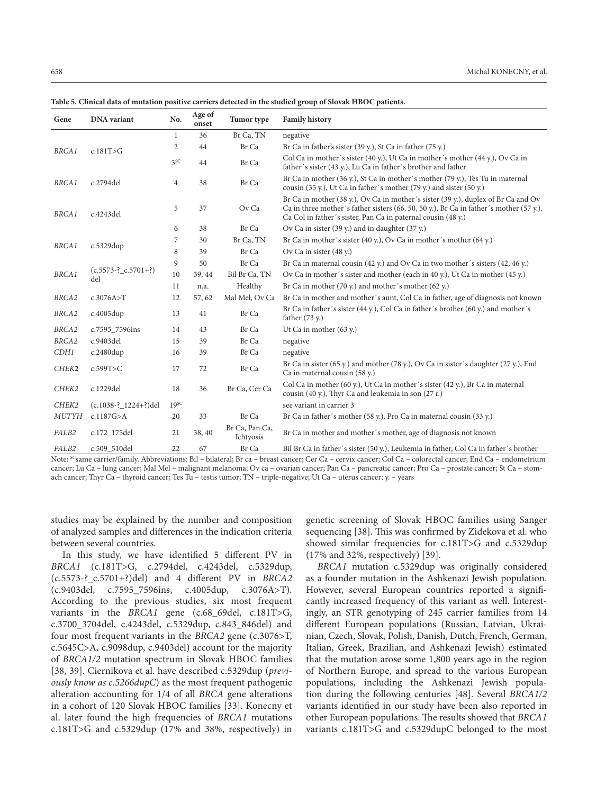| Gene              | <b>DNA</b> variant               | No.              | Age of<br>onset | Tumor type                  | <b>Family history</b>                                                                                                                                                                                                                       |
|-------------------|----------------------------------|------------------|-----------------|-----------------------------|---------------------------------------------------------------------------------------------------------------------------------------------------------------------------------------------------------------------------------------------|
|                   |                                  | 1                | 36              | Br Ca, TN                   | negative                                                                                                                                                                                                                                    |
| <b>BRCA1</b>      | c.181T>G                         | 2                | 44              | Br Ca                       | Br Ca in father's sister (39 y.), St Ca in father (75 y.)                                                                                                                                                                                   |
|                   |                                  | 3 <sup>SC</sup>  | 44              | Br Ca                       | Col Ca in mother's sister (40 y.), Ut Ca in mother's mother (44 y.), Ov Ca in<br>father's sister (43 y.), Lu Ca in father's brother and father                                                                                              |
| <b>BRCA1</b>      | c.2794del                        | $\overline{4}$   | 38              | Br Ca                       | Br Ca in mother (36 y.), St Ca in mother's mother (79 y.), Tes Tu in maternal<br>cousin (35 y.), Ut Ca in father's mother (79 y.) and sister (50 y.)                                                                                        |
| <b>BRCA1</b>      | c.4243del                        | 5                | 37              | Ov Ca                       | Br Ca in mother (38 y.), Ov Ca in mother's sister (39 y.), duplex of Br Ca and Ov<br>Ca in three mother's father sisters (66, 50, 50 y.), Br Ca in father's mother (57 y.),<br>Ca Col in father's sister, Pan Ca in paternal cousin (48 y.) |
|                   |                                  | 6                | 38              | Br Ca                       | Ov Ca in sister (39 y.) and in daughter (37 y.)                                                                                                                                                                                             |
| <b>BRCA1</b>      | c.5329dup                        | 7                | 30              | Br Ca, TN                   | Br Ca in mother's sister $(40 y)$ , Ov Ca in mother's mother $(64 y)$                                                                                                                                                                       |
|                   |                                  | 8                | 39              | Br Ca                       | Ov Ca in sister (48 y.)                                                                                                                                                                                                                     |
|                   |                                  | 9                | 50              | Br Ca                       | Br Ca in maternal cousin (42 y.) and Ov Ca in two mother's sisters (42, 46 y.)                                                                                                                                                              |
| <b>BRCA1</b>      | $(c.5573 - ?_c.5701 + ?)$<br>del | 10               | 39, 44          | Bil Br Ca, TN               | Ov Ca in mother's sister and mother (each in 40 y.), Ut Ca in mother (45 y.)                                                                                                                                                                |
|                   |                                  | 11               | n.a.            | Healthy                     | Br Ca in mother $(70 y)$ and mother's mother $(62 y)$ .                                                                                                                                                                                     |
| BRCA <sub>2</sub> | c.3076A > T                      | 12               | 57, 62          | Mal Mel, Ov Ca              | Br Ca in mother and mother's aunt, Col Ca in father, age of diagnosis not known                                                                                                                                                             |
| BRCA2             | c.4005dup                        | 13               | 41              | Br Ca                       | Br Ca in father's sister (44 y.), Col Ca in father's brother (60 y.) and mother's<br>father $(73 y)$ .                                                                                                                                      |
| BRCA2             | c.7595_7596ins                   | 14               | 43              | Br Ca                       | Ut Ca in mother (63 y.)                                                                                                                                                                                                                     |
| BRCA2             | c.9403del                        | 15               | 39              | Br Ca                       | negative                                                                                                                                                                                                                                    |
| CDH1              | c.2480dup                        | 16               | 39              | Br Ca                       | negative                                                                                                                                                                                                                                    |
| CHEK2             | c.599T>C                         | 17               | 72              | Br Ca                       | Br Ca in sister $(65 y)$ and mother $(78 y)$ , Ov Ca in sister's daughter $(27 y)$ , End<br>Ca in maternal cousin (58 y.)                                                                                                                   |
| CHEK2             | c.1229del                        | 18               | 36              | Br Ca, Cer Ca               | Col Ca in mother (60 y.), Ut Ca in mother's sister (42 y.), Br Ca in maternal<br>cousin (40 y.), Thyr Ca and leukemia in son (27 r.)                                                                                                        |
| CHEK2             | (c.1038-? 1224+?)del             | 19 <sup>SC</sup> |                 |                             | see variant in carrier 3                                                                                                                                                                                                                    |
| <b>MUTYH</b>      | c.1187G > A                      | 20               | 33              | Br Ca                       | Br Ca in father's mother (58 y.), Pro Ca in maternal cousin (33 y.)                                                                                                                                                                         |
| PALB2             | c.172_175del                     | 21               | 38, 40          | Br Ca, Pan Ca,<br>Ichtyosis | Br Ca in mother and mother's mother, age of diagnosis not known                                                                                                                                                                             |
| PALB <sub>2</sub> | c.509 510del                     | 22               | 67              | Br Ca                       | Bil Br Ca in father's sister (50 y.), Leukemia in father, Col Ca in father's brother                                                                                                                                                        |

**Table 5. Clinical data of mutation positive carriers detected in the studied group of Slovak HBOC patients.**

Note: <sup>SC</sup>same carrier/family. Abbreviations: Bil – bilateral; Br ca – breast cancer; Cer Ca – cervix cancer; Col Ca – colorectal cancer; End Ca – endometrium cancer; Lu Ca – lung cancer; Mal Mel – malignant melanoma; Ov ca – ovarian cancer; Pan Ca – pancreatic cancer; Pro Ca – prostate cancer; St Ca – stomach cancer; Thyr Ca – thyroid cancer; Tes Tu – testis tumor; TN – triple-negative; Ut Ca – uterus cancer; y. – years

studies may be explained by the number and composition of analyzed samples and differences in the indication criteria between several countries.

In this study, we have identified 5 different PV in *BRCA1* (c.181T>G, c.2794del, c.4243del, c.5329dup, (c.5573-?\_c.5701+?)del) and 4 different PV in *BRCA2* (c.9403del, c.7595\_7596ins, c.4005dup, c.3076A>T). According to the previous studies, six most frequent variants in the *BRCA1* gene (c.68\_69del, c.181T>G, c.3700\_3704del, c.4243del, c.5329dup, c.843\_846del) and four most frequent variants in the *BRCA2* gene (c.3076>T, c.5645C>A, c.9098dup, c.9403del) account for the majority of *BRCA1/2* mutation spectrum in Slovak HBOC families [38, 39]. Ciernikova et al. have described c.5329dup (*previously know as c.5266dupC*) as the most frequent pathogenic alteration accounting for 1/4 of all *BRCA* gene alterations in a cohort of 120 Slovak HBOC families [33]. Konecny et al. later found the high frequencies of *BRCA1* mutations c.181T>G and c.5329dup (17% and 38%, respectively) in

genetic screening of Slovak HBOC families using Sanger sequencing [38]. This was confirmed by Zidekova et al. who showed similar frequencies for c.181T>G and c.5329dup (17% and 32%, respectively) [39].

*BRCA1* mutation c.5329dup was originally considered as a founder mutation in the Ashkenazi Jewish population. However, several European countries reported a significantly increased frequency of this variant as well. Interestingly, an STR genotyping of 245 carrier families from 14 different European populations (Russian, Latvian, Ukrainian, Czech, Slovak, Polish, Danish, Dutch, French, German, Italian, Greek, Brazilian, and Ashkenazi Jewish) estimated that the mutation arose some 1,800 years ago in the region of Northern Europe, and spread to the various European populations, including the Ashkenazi Jewish population during the following centuries [48]. Several *BRCA1/2* variants identified in our study have been also reported in other European populations. The results showed that *BRCA1* variants c.181T>G and c.5329dupC belonged to the most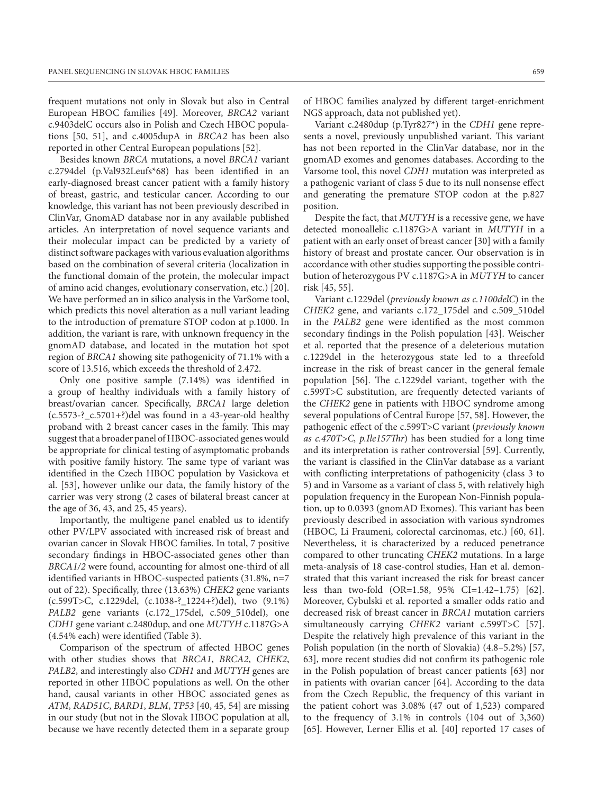frequent mutations not only in Slovak but also in Central European HBOC families [49]. Moreover, *BRCA2* variant c.9403delC occurs also in Polish and Czech HBOC populations [50, 51], and c.4005dupA in *BRCA2* has been also reported in other Central European populations [52].

Besides known *BRCA* mutations, a novel *BRCA1* variant c.2794del (p.Val932Leufs\*68) has been identified in an early-diagnosed breast cancer patient with a family history of breast, gastric, and testicular cancer. According to our knowledge, this variant has not been previously described in ClinVar, GnomAD database nor in any available published articles. An interpretation of novel sequence variants and their molecular impact can be predicted by a variety of distinct software packages with various evaluation algorithms based on the combination of several criteria (localization in the functional domain of the protein, the molecular impact of amino acid changes, evolutionary conservation, etc.) [20]. We have performed an in silico analysis in the VarSome tool, which predicts this novel alteration as a null variant leading to the introduction of premature STOP codon at p.1000. In addition, the variant is rare, with unknown frequency in the gnomAD database, and located in the mutation hot spot region of *BRCA1* showing site pathogenicity of 71.1% with a score of 13.516, which exceeds the threshold of 2.472.

Only one positive sample (7.14%) was identified in a group of healthy individuals with a family history of breast/ovarian cancer. Specifically, *BRCA1* large deletion (c.5573-?\_c.5701+?)del was found in a 43-year-old healthy proband with 2 breast cancer cases in the family. This may suggest that a broader panel of HBOC-associated genes would be appropriate for clinical testing of asymptomatic probands with positive family history. The same type of variant was identified in the Czech HBOC population by Vasickova et al. [53], however unlike our data, the family history of the carrier was very strong (2 cases of bilateral breast cancer at the age of 36, 43, and 25, 45 years).

Importantly, the multigene panel enabled us to identify other PV/LPV associated with increased risk of breast and ovarian cancer in Slovak HBOC families. In total, 7 positive secondary findings in HBOC-associated genes other than *BRCA1/2* were found, accounting for almost one-third of all identified variants in HBOC-suspected patients (31.8%, n=7 out of 22). Specifically, three (13.63%) *CHEK2* gene variants (c.599T>C, c.1229del, (c.1038-?\_1224+?)del), two (9.1%) *PALB2* gene variants (c.172\_175del, c.509\_510del), one *CDH1* gene variant c.2480dup, and one *MUTYH* c.1187G>A (4.54% each) were identified (Table 3).

Comparison of the spectrum of affected HBOC genes with other studies shows that *BRCA1*, *BRCA2*, *CHEK2*, *PALB2*, and interestingly also *CDH1* and *MUTYH* genes are reported in other HBOC populations as well. On the other hand, causal variants in other HBOC associated genes as *ATM*, *RAD51C*, *BARD1*, *BLM*, *TP53* [40, 45, 54] are missing in our study (but not in the Slovak HBOC population at all, because we have recently detected them in a separate group of HBOC families analyzed by different target-enrichment NGS approach, data not published yet).

Variant c.2480dup (p.Tyr827\*) in the *CDH1* gene represents a novel, previously unpublished variant. This variant has not been reported in the ClinVar database, nor in the gnomAD exomes and genomes databases. According to the Varsome tool, this novel *CDH1* mutation was interpreted as a pathogenic variant of class 5 due to its null nonsense effect and generating the premature STOP codon at the p.827 position.

Despite the fact, that *MUTYH* is a recessive gene, we have detected monoallelic c.1187G>A variant in *MUTYH* in a patient with an early onset of breast cancer [30] with a family history of breast and prostate cancer. Our observation is in accordance with other studies supporting the possible contribution of heterozygous PV c.1187G>A in *MUTYH* to cancer risk [45, 55].

Variant c.1229del (*previously known as c.1100delC*) in the *CHEK2* gene, and variants c.172\_175del and c.509\_510del in the *PALB2* gene were identified as the most common secondary findings in the Polish population [43]. Weischer et al. reported that the presence of a deleterious mutation c.1229del in the heterozygous state led to a threefold increase in the risk of breast cancer in the general female population [56]. The c.1229del variant, together with the c.599T>C substitution, are frequently detected variants of the *CHEK2* gene in patients with HBOC syndrome among several populations of Central Europe [57, 58]. However, the pathogenic effect of the c.599T>C variant (*previously known as c.470T>C, p.Ile157Thr*) has been studied for a long time and its interpretation is rather controversial [59]. Currently, the variant is classified in the ClinVar database as a variant with conflicting interpretations of pathogenicity (class 3 to 5) and in Varsome as a variant of class 5, with relatively high population frequency in the European Non-Finnish population, up to 0.0393 (gnomAD Exomes). This variant has been previously described in association with various syndromes (HBOC, Li Fraumeni, colorectal carcinomas, etc.) [60, 61]. Nevertheless, it is characterized by a reduced penetrance compared to other truncating *CHEK2* mutations. In a large meta-analysis of 18 case-control studies, Han et al. demonstrated that this variant increased the risk for breast cancer less than two-fold (OR=1.58, 95% CI=1.42–1.75) [62]. Moreover, Cybulski et al. reported a smaller odds ratio and decreased risk of breast cancer in *BRCA1* mutation carriers simultaneously carrying *CHEK2* variant c.599T>C [57]. Despite the relatively high prevalence of this variant in the Polish population (in the north of Slovakia) (4.8–5.2%) [57, 63], more recent studies did not confirm its pathogenic role in the Polish population of breast cancer patients [63] nor in patients with ovarian cancer [64]. According to the data from the Czech Republic, the frequency of this variant in the patient cohort was 3.08% (47 out of 1,523) compared to the frequency of 3.1% in controls (104 out of 3,360) [65]. However, Lerner Ellis et al. [40] reported 17 cases of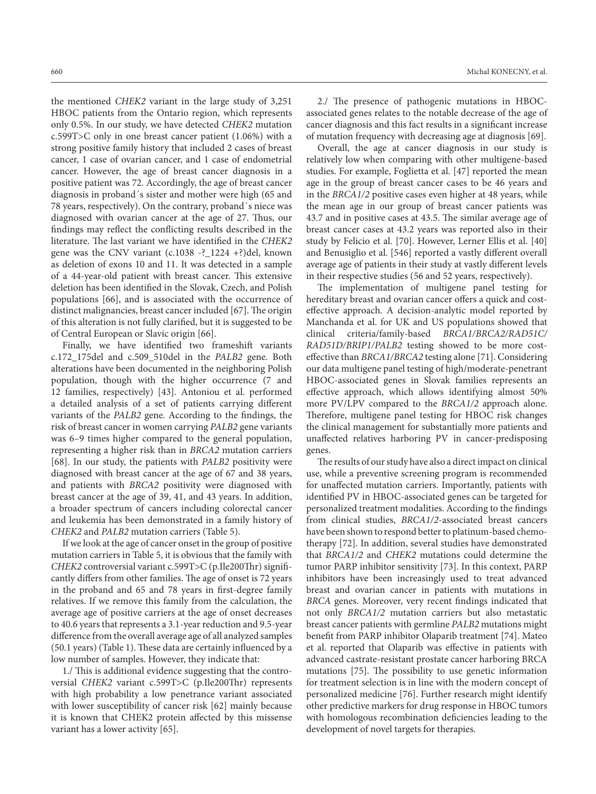the mentioned *CHEK2* variant in the large study of 3,251 HBOC patients from the Ontario region, which represents only 0.5%. In our study, we have detected *CHEK2* mutation c.599T>C only in one breast cancer patient (1.06%) with a strong positive family history that included 2 cases of breast cancer, 1 case of ovarian cancer, and 1 case of endometrial cancer. However, the age of breast cancer diagnosis in a positive patient was 72. Accordingly, the age of breast cancer diagnosis in proband´s sister and mother were high (65 and 78 years, respectively). On the contrary, proband´s niece was diagnosed with ovarian cancer at the age of 27. Thus, our findings may reflect the conflicting results described in the literature. The last variant we have identified in the *CHEK2* gene was the CNV variant (c.1038 -?\_1224 +?)del, known as deletion of exons 10 and 11. It was detected in a sample of a 44-year-old patient with breast cancer. This extensive deletion has been identified in the Slovak, Czech, and Polish populations [66], and is associated with the occurrence of distinct malignancies, breast cancer included [67]. The origin of this alteration is not fully clarified, but it is suggested to be of Central European or Slavic origin [66].

Finally, we have identified two frameshift variants c.172\_175del and c.509\_510del in the *PALB2* gene. Both alterations have been documented in the neighboring Polish population, though with the higher occurrence (7 and 12 families, respectively) [43]. Antoniou et al. performed a detailed analysis of a set of patients carrying different variants of the *PALB2* gene. According to the findings, the risk of breast cancer in women carrying *PALB2* gene variants was 6–9 times higher compared to the general population, representing a higher risk than in *BRCA2* mutation carriers [68]. In our study, the patients with *PALB2* positivity were diagnosed with breast cancer at the age of 67 and 38 years, and patients with *BRCA2* positivity were diagnosed with breast cancer at the age of 39, 41, and 43 years. In addition, a broader spectrum of cancers including colorectal cancer and leukemia has been demonstrated in a family history of *CHEK2* and *PALB2* mutation carriers (Table 5).

If we look at the age of cancer onset in the group of positive mutation carriers in Table 5, it is obvious that the family with *CHEK2* controversial variant c.599T>C (p.Ile200Thr) significantly differs from other families. The age of onset is 72 years in the proband and 65 and 78 years in first-degree family relatives. If we remove this family from the calculation, the average age of positive carriers at the age of onset decreases to 40.6 years that represents a 3.1-year reduction and 9.5-year difference from the overall average age of all analyzed samples (50.1 years) (Table 1). These data are certainly influenced by a low number of samples. However, they indicate that:

1./ This is additional evidence suggesting that the controversial *CHEK2* variant c.599T>C (p.Ile200Thr) represents with high probability a low penetrance variant associated with lower susceptibility of cancer risk [62] mainly because it is known that CHEK2 protein affected by this missense variant has a lower activity [65].

2./ The presence of pathogenic mutations in HBOCassociated genes relates to the notable decrease of the age of cancer diagnosis and this fact results in a significant increase of mutation frequency with decreasing age at diagnosis [69].

Overall, the age at cancer diagnosis in our study is relatively low when comparing with other multigene-based studies. For example, Foglietta et al. [47] reported the mean age in the group of breast cancer cases to be 46 years and in the *BRCA1/2* positive cases even higher at 48 years, while the mean age in our group of breast cancer patients was 43.7 and in positive cases at 43.5. The similar average age of breast cancer cases at 43.2 years was reported also in their study by Felicio et al. [70]. However, Lerner Ellis et al. [40] and Benusiglio et al. [546] reported a vastly different overall average age of patients in their study at vastly different levels in their respective studies (56 and 52 years, respectively).

The implementation of multigene panel testing for hereditary breast and ovarian cancer offers a quick and costeffective approach. A decision-analytic model reported by Manchanda et al. for UK and US populations showed that clinical criteria/family-based *BRCA1/BRCA2/RAD51C/ RAD51D/BRIP1/PALB2* testing showed to be more costeffective than *BRCA1/BRCA2* testing alone [71]. Considering our data multigene panel testing of high/moderate-penetrant HBOC-associated genes in Slovak families represents an effective approach, which allows identifying almost 50% more PV/LPV compared to the *BRCA1/2* approach alone. Therefore, multigene panel testing for HBOC risk changes the clinical management for substantially more patients and unaffected relatives harboring PV in cancer-predisposing genes.

The results of our study have also a direct impact on clinical use, while a preventive screening program is recommended for unaffected mutation carriers. Importantly, patients with identified PV in HBOC-associated genes can be targeted for personalized treatment modalities. According to the findings from clinical studies, *BRCA1/2*-associated breast cancers have been shown to respond better to platinum-based chemotherapy [72]. In addition, several studies have demonstrated that *BRCA1/2* and *CHEK2* mutations could determine the tumor PARP inhibitor sensitivity [73]. In this context, PARP inhibitors have been increasingly used to treat advanced breast and ovarian cancer in patients with mutations in *BRCA* genes. Moreover, very recent findings indicated that not only *BRCA1/2* mutation carriers but also metastatic breast cancer patients with germline *PALB2* mutations might benefit from PARP inhibitor Olaparib treatment [74]. Mateo et al. reported that Olaparib was effective in patients with advanced castrate-resistant prostate cancer harboring BRCA mutations [75]. The possibility to use genetic information for treatment selection is in line with the modern concept of personalized medicine [76]. Further research might identify other predictive markers for drug response in HBOC tumors with homologous recombination deficiencies leading to the development of novel targets for therapies.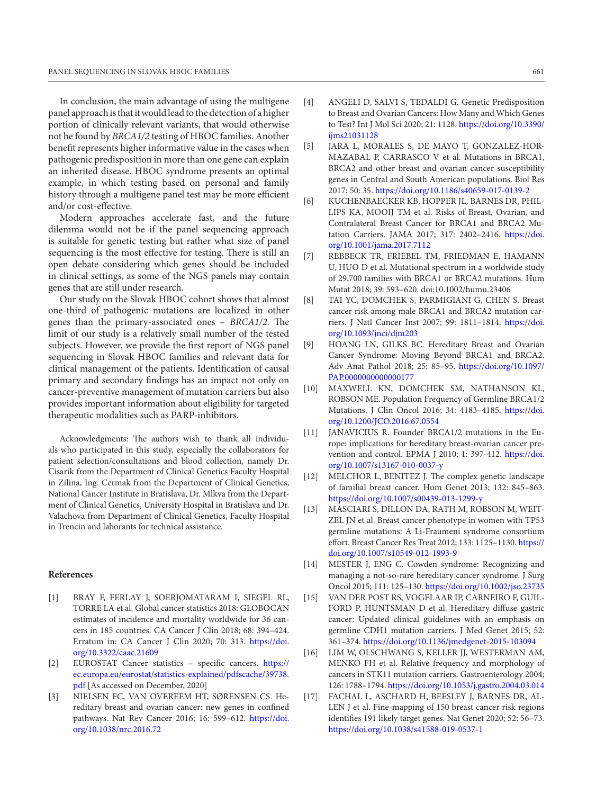In conclusion, the main advantage of using the multigene panel approach is that it would lead to the detection of a higher portion of clinically relevant variants, that would otherwise not be found by *BRCA1/2* testing of HBOC families. Another benefit represents higher informative value in the cases when pathogenic predisposition in more than one gene can explain an inherited disease. HBOC syndrome presents an optimal example, in which testing based on personal and family history through a multigene panel test may be more efficient and/or cost-effective.

Modern approaches accelerate fast, and the future dilemma would not be if the panel sequencing approach is suitable for genetic testing but rather what size of panel sequencing is the most effective for testing. There is still an open debate considering which genes should be included in clinical settings, as some of the NGS panels may contain genes that are still under research.

Our study on the Slovak HBOC cohort shows that almost one-third of pathogenic mutations are localized in other genes than the primary-associated ones – *BRCA1/2.* The limit of our study is a relatively small number of the tested subjects. However, we provide the first report of NGS panel sequencing in Slovak HBOC families and relevant data for clinical management of the patients. Identification of causal primary and secondary findings has an impact not only on cancer-preventive management of mutation carriers but also provides important information about eligibility for targeted therapeutic modalities such as PARP-inhibitors.

Acknowledgments: The authors wish to thank all individuals who participated in this study, especially the collaborators for patient selection/consultations and blood collection, namely Dr. Cisarik from the Department of Clinical Genetics Faculty Hospital in Zilina, Ing. Cermak from the Department of Clinical Genetics, National Cancer Institute in Bratislava, Dr. Mlkva from the Department of Clinical Genetics, University Hospital in Bratislava and Dr. Valachova from Department of Clinical Genetics, Faculty Hospital in Trencin and laborants for technical assistance.

#### **References**

- [1] BRAY F, FERLAY J, SOERJOMATARAM I, SIEGEL RL, TORRE LA et al. Global cancer statistics 2018: GLOBOCAN estimates of incidence and mortality worldwide for 36 cancers in 185 countries. CA Cancer J Clin 2018; 68: 394–424. Erratum in: CA Cancer J Clin 2020; 70: 313. [https://doi.](https://doi.org/10.3322/caac.21609) [org/10.3322/caac.21609](https://doi.org/10.3322/caac.21609)
- [2] EUROSTAT Cancer statistics specific cancers. [https://](https://ec.europa.eu/eurostat/statistics-explained/pdfscache/39738.pdf) [ec.europa.eu/eurostat/statistics-explained/pdfscache/39738.](https://ec.europa.eu/eurostat/statistics-explained/pdfscache/39738.pdf) [pdf](https://ec.europa.eu/eurostat/statistics-explained/pdfscache/39738.pdf) [As accessed on December, 2020]
- [3] NIELSEN FC, VAN OVEREEM HT, SØRENSEN CS. Hereditary breast and ovarian cancer: new genes in confined pathways. Nat Rev Cancer 2016; 16: 599–612. [https://doi.](https://doi.org/10.1038/nrc.2016.72) [org/10.1038/nrc.2016.72](https://doi.org/10.1038/nrc.2016.72)
- [4] ANGELI D, SALVI S, TEDALDI G. Genetic Predisposition to Breast and Ovarian Cancers: How Many and Which Genes to Test? Int J Mol Sci 2020; 21: 1128. [https://doi.org/10.3390/](https://doi.org/10.3390/ijms21031128) iims21031128
- [5] JARA L, MORALES S, DE MAYO T, GONZALEZ-HOR-MAZABAL P, CARRASCO V et al. Mutations in BRCA1, BRCA2 and other breast and ovarian cancer susceptibility genes in Central and South American populations. Biol Res 2017; 50: 35.<https://doi.org/10.1186/s40659-017-0139-2>
- [6] KUCHENBAECKER KB, HOPPER JL, BARNES DR, PHIL-LIPS KA, MOOIJ TM et al. Risks of Breast, Ovarian, and Contralateral Breast Cancer for BRCA1 and BRCA2 Mutation Carriers. JAMA 2017; 317: 2402–2416. [https://doi.](https://doi.org/10.1001/jama.2017.7112) [org/10.1001/jama.2017.7112](https://doi.org/10.1001/jama.2017.7112)
- [7] REBBECK TR, FRIEBEL TM, FRIEDMAN E, HAMANN U, HUO D et al. Mutational spectrum in a worldwide study of 29,700 families with BRCA1 or BRCA2 mutations. Hum Mutat 2018; 39: 593–620. doi:10.1002/humu.23406
- [8] TAI YC, DOMCHEK S, PARMIGIANI G, CHEN S. Breast cancer risk among male BRCA1 and BRCA2 mutation carriers. J Natl Cancer Inst 2007; 99: 1811–1814. [https://doi.](https://doi.org/10.1093/jnci/djm203) [org/10.1093/jnci/djm203](https://doi.org/10.1093/jnci/djm203)
- [9] HOANG LN, GILKS BC. Hereditary Breast and Ovarian Cancer Syndrome: Moving Beyond BRCA1 and BRCA2. Adv Anat Pathol 2018; 25: 85–95. [https://doi.org/10.1097/](https://doi.org/10.1097/PAP.0000000000000177) [PAP.0000000000000177](https://doi.org/10.1097/PAP.0000000000000177)
- [10] MAXWELL KN, DOMCHEK SM, NATHANSON KL, ROBSON ME. Population Frequency of Germline BRCA1/2 Mutations. J Clin Oncol 2016; 34: 4183–4185. [https://doi.](https://doi.org/10.1200/JCO.2016.67.0554) [org/10.1200/JCO.2016.67.0554](https://doi.org/10.1200/JCO.2016.67.0554)
- [11] JANAVICIUS R. Founder BRCA1/2 mutations in the Europe: implications for hereditary breast-ovarian cancer prevention and control. EPMA J 2010; 1: 397‐412. [https://doi.](https://doi.org/10.1007/s13167-010-0037-y) [org/10.1007/s13167-010-0037-y](https://doi.org/10.1007/s13167-010-0037-y)
- [12] MELCHOR L, BENITEZ J. The complex genetic landscape of familial breast cancer. Hum Genet 2013; 132: 845–863. <https://doi.org/10.1007/s00439-013-1299-y>
- [13] MASCIARI S, DILLON DA, RATH M, ROBSON M, WEIT-ZEL JN et al. Breast cancer phenotype in women with TP53 germline mutations: A Li-Fraumeni syndrome consortium effort. Breast Cancer Res Treat 2012; 133: 1125–1130. [https://](https://doi.org/10.1007/s10549-012-1993-9) [doi.org/10.1007/s10549-012-1993-9](https://doi.org/10.1007/s10549-012-1993-9)
- [14] MESTER J, ENG C. Cowden syndrome: Recognizing and managing a not-so-rare hereditary cancer syndrome. J Surg Oncol 2015; 111: 125–130.<https://doi.org/10.1002/jso.23735>
- [15] VAN DER POST RS, VOGELAAR IP, CARNEIRO F, GUIL-FORD P, HUNTSMAN D et al. Hereditary diffuse gastric cancer: Updated clinical guidelines with an emphasis on germline CDH1 mutation carriers. J Med Genet 2015; 52: 361–374. <https://doi.org/10.1136/jmedgenet-2015-103094>
- [16] LIM W, OLSCHWANG S, KELLER JJ, WESTERMAN AM, MENKO FH et al. Relative frequency and morphology of cancers in STK11 mutation carriers. Gastroenterology 2004; 126: 1788–1794.<https://doi.org/10.1053/j.gastro.2004.03.014>
- [17] FACHAL L, ASCHARD H, BEESLEY J, BARNES DR, AL-LEN J et al. Fine-mapping of 150 breast cancer risk regions identifies 191 likely target genes. Nat Genet 2020; 52: 56–73. <https://doi.org/10.1038/s41588-019-0537-1>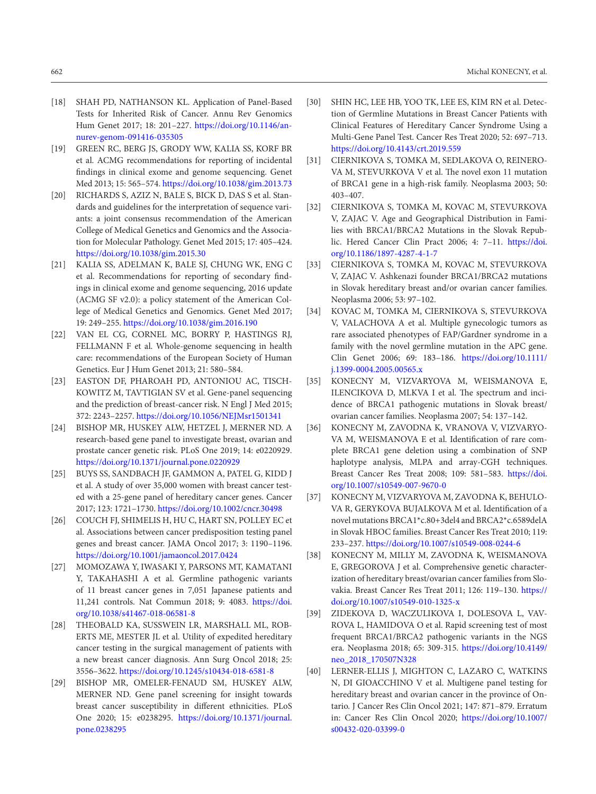- [18] SHAH PD, NATHANSON KL. Application of Panel-Based Tests for Inherited Risk of Cancer. Annu Rev Genomics Hum Genet 2017; 18: 201–227. [https://doi.org/10.1146/an](https://doi.org/10.1146/annurev-genom-091416-035305)[nurev-genom-091416-035305](https://doi.org/10.1146/annurev-genom-091416-035305)
- [19] GREEN RC, BERG JS, GRODY WW, KALIA SS, KORF BR et al. ACMG recommendations for reporting of incidental findings in clinical exome and genome sequencing. Genet Med 2013; 15: 565–574.<https://doi.org/10.1038/gim.2013.73>
- [20] RICHARDS S, AZIZ N, BALE S, BICK D, DAS S et al. Standards and guidelines for the interpretation of sequence variants: a joint consensus recommendation of the American College of Medical Genetics and Genomics and the Association for Molecular Pathology. Genet Med 2015; 17: 405–424. <https://doi.org/10.1038/gim.2015.30>
- [21] KALIA SS, ADELMAN K, BALE SJ, CHUNG WK, ENG C et al. Recommendations for reporting of secondary findings in clinical exome and genome sequencing, 2016 update (ACMG SF v2.0): a policy statement of the American College of Medical Genetics and Genomics. Genet Med 2017; 19: 249–255.<https://doi.org/10.1038/gim.2016.190>
- [22] VAN EL CG, CORNEL MC, BORRY P, HASTINGS RJ, FELLMANN F et al. Whole-genome sequencing in health care: recommendations of the European Society of Human Genetics. Eur J Hum Genet 2013; 21: 580–584.
- [23] EASTON DF, PHAROAH PD, ANTONIOU AC, TISCH-KOWITZ M, TAVTIGIAN SV et al. Gene-panel sequencing and the prediction of breast-cancer risk. N Engl J Med 2015; 372: 2243–2257.<https://doi.org/10.1056/NEJMsr1501341>
- [24] BISHOP MR, HUSKEY ALW, HETZEL J, MERNER ND. A research-based gene panel to investigate breast, ovarian and prostate cancer genetic risk. PLoS One 2019; 14: e0220929. <https://doi.org/10.1371/journal.pone.0220929>
- [25] BUYS SS, SANDBACH JF, GAMMON A, PATEL G, KIDD J et al. A study of over 35,000 women with breast cancer tested with a 25-gene panel of hereditary cancer genes. Cancer 2017; 123: 1721–1730. <https://doi.org/10.1002/cncr.30498>
- [26] COUCH FJ, SHIMELIS H, HU C, HART SN, POLLEY EC et al. Associations between cancer predisposition testing panel genes and breast cancer. JAMA Oncol 2017; 3: 1190–1196. <https://doi.org/10.1001/jamaoncol.2017.0424>
- [27] MOMOZAWA Y, IWASAKI Y, PARSONS MT, KAMATANI Y, TAKAHASHI A et al. Germline pathogenic variants of 11 breast cancer genes in 7,051 Japanese patients and 11,241 controls. Nat Commun 2018; 9: 4083. [https://doi.](https://doi.org/10.1038/s41467-018-06581-8) [org/10.1038/s41467-018-06581-8](https://doi.org/10.1038/s41467-018-06581-8)
- [28] THEOBALD KA, SUSSWEIN LR, MARSHALL ML, ROB-ERTS ME, MESTER JL et al. Utility of expedited hereditary cancer testing in the surgical management of patients with a new breast cancer diagnosis. Ann Surg Oncol 2018; 25: 3556–3622.<https://doi.org/10.1245/s10434-018-6581-8>
- [29] BISHOP MR, OMELER-FENAUD SM, HUSKEY ALW, MERNER ND. Gene panel screening for insight towards breast cancer susceptibility in different ethnicities. PLoS One 2020; 15: e0238295. [https://doi.org/10.1371/journal.](https://doi.org/10.1371/journal.pone.0238295) [pone.0238295](https://doi.org/10.1371/journal.pone.0238295)
- [30] SHIN HC, LEE HB, YOO TK, LEE ES, KIM RN et al. Detection of Germline Mutations in Breast Cancer Patients with Clinical Features of Hereditary Cancer Syndrome Using a Multi-Gene Panel Test. Cancer Res Treat 2020; 52: 697–713. <https://doi.org/10.4143/crt.2019.559>
- [31] CIERNIKOVA S, TOMKA M, SEDLAKOVA O, REINERO-VA M, STEVURKOVA V et al. The novel exon 11 mutation of BRCA1 gene in a high-risk family. Neoplasma 2003; 50: 403–407.
- [32] CIERNIKOVA S, TOMKA M, KOVAC M, STEVURKOVA V, ZAJAC V. Age and Geographical Distribution in Families with BRCA1/BRCA2 Mutations in the Slovak Republic. Hered Cancer Clin Pract 2006; 4: 7–11. [https://doi.](https://doi.org/10.1186/1897-4287-4-1-7) [org/10.1186/1897-4287-4-1-7](https://doi.org/10.1186/1897-4287-4-1-7)
- [33] CIERNIKOVA S, TOMKA M, KOVAC M, STEVURKOVA V, ZAJAC V. Ashkenazi founder BRCA1/BRCA2 mutations in Slovak hereditary breast and/or ovarian cancer families. Neoplasma 2006; 53: 97–102.
- [34] KOVAC M, TOMKA M, CIERNIKOVA S, STEVURKOVA V, VALACHOVA A et al. Multiple gynecologic tumors as rare associated phenotypes of FAP/Gardner syndrome in a family with the novel germline mutation in the APC gene. Clin Genet 2006; 69: 183–186. [https://doi.org/10.1111/](https://doi.org/10.1111/j.1399-0004.2005.00565.x) [j.1399-0004.2005.00565.x](https://doi.org/10.1111/j.1399-0004.2005.00565.x)
- [35] KONECNY M, VIZVARYOVA M, WEISMANOVA E, ILENCIKOVA D, MLKVA I et al. The spectrum and incidence of BRCA1 pathogenic mutations in Slovak breast/ ovarian cancer families. Neoplasma 2007; 54: 137–142.
- [36] KONECNY M, ZAVODNA K, VRANOVA V, VIZVARYO-VA M, WEISMANOVA E et al. Identification of rare complete BRCA1 gene deletion using a combination of SNP haplotype analysis, MLPA and array-CGH techniques. Breast Cancer Res Treat 2008; 109: 581–583. [https://doi.](https://doi.org/10.1007/s10549-007-9670-0) [org/10.1007/s10549-007-9670-0](https://doi.org/10.1007/s10549-007-9670-0)
- [37] KONECNY M, VIZVARYOVA M, ZAVODNA K, BEHULO-VA R, GERYKOVA BUJALKOVA M et al. Identification of a novel mutations BRCA1\*c.80+3del4 and BRCA2\*c.6589delA in Slovak HBOC families. Breast Cancer Res Treat 2010; 119: 233–237. <https://doi.org/10.1007/s10549-008-0244-6>
- [38] KONECNY M, MILLY M, ZAVODNA K, WEISMANOVA E, GREGOROVA J et al. Comprehensive genetic characterization of hereditary breast/ovarian cancer families from Slovakia. Breast Cancer Res Treat 2011; 126: 119–130. [https://](https://doi.org/10.1007/s10549-010-1325-x) [doi.org/10.1007/s10549-010-1325-x](https://doi.org/10.1007/s10549-010-1325-x)
- [39] ZIDEKOVA D, WACZULIKOVA I, DOLESOVA L, VAV-ROVA L, HAMIDOVA O et al. Rapid screening test of most frequent BRCA1/BRCA2 pathogenic variants in the NGS era. Neoplasma 2018; 65: 309‐315. [https://doi.org/10.4149/](https://doi.org/10.4149/neo_2018_170507N328) [neo\\_2018\\_170507N328](https://doi.org/10.4149/neo_2018_170507N328)
- [40] LERNER-ELLIS J, MIGHTON C, LAZARO C, WATKINS N, DI GIOACCHINO V et al. Multigene panel testing for hereditary breast and ovarian cancer in the province of Ontario. J Cancer Res Clin Oncol 2021; 147: 871–879. Erratum in: Cancer Res Clin Oncol 2020; [https://doi.org/10.1007/](https://doi.org/10.1007/s00432-020-03399-0) [s00432-020-03399-0](https://doi.org/10.1007/s00432-020-03399-0)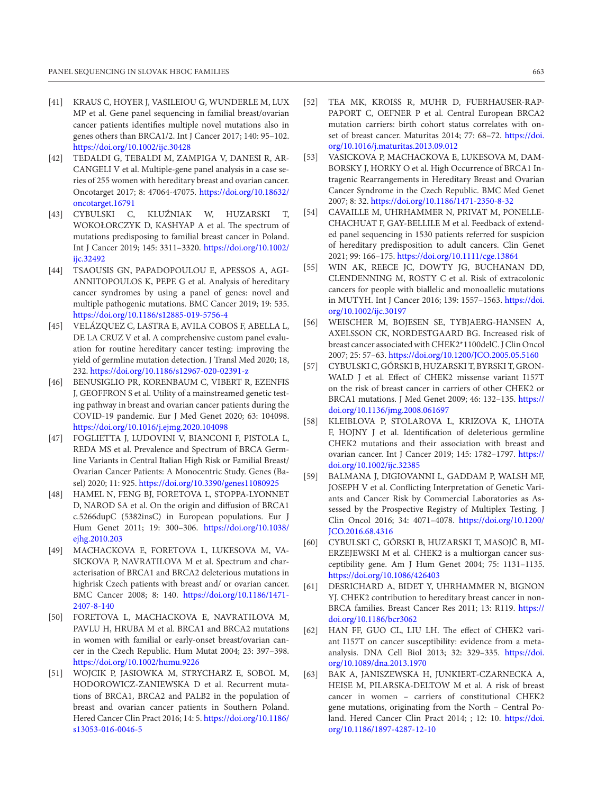- [41] KRAUS C, HOYER J, VASILEIOU G, WUNDERLE M, LUX MP et al. Gene panel sequencing in familial breast/ovarian cancer patients identifies multiple novel mutations also in genes others than BRCA1/2. Int J Cancer 2017; 140: 95–102. <https://doi.org/10.1002/ijc.30428>
- [42] TEDALDI G, TEBALDI M, ZAMPIGA V, DANESI R, AR-CANGELI V et al. Multiple-gene panel analysis in a case series of 255 women with hereditary breast and ovarian cancer. Oncotarget 2017; 8: 47064‐47075. [https://doi.org/10.18632/](https://doi.org/10.18632/oncotarget.16791) [oncotarget.16791](https://doi.org/10.18632/oncotarget.16791)
- [43] CYBULSKI C, KLUŹNIAK W, HUZARSKI T, WOKOŁORCZYK D, KASHYAP A et al. The spectrum of mutations predisposing to familial breast cancer in Poland. Int J Cancer 2019; 145: 3311–3320. [https://doi.org/10.1002/](https://doi.org/10.1002/ijc.32492) iic.32492
- [44] TSAOUSIS GN, PAPADOPOULOU E, APESSOS A, AGI-ANNITOPOULOS K, PEPE G et al. Analysis of hereditary cancer syndromes by using a panel of genes: novel and multiple pathogenic mutations. BMC Cancer 2019; 19: 535. <https://doi.org/10.1186/s12885-019-5756-4>
- [45] VELÁZQUEZ C, LASTRA E, AVILA COBOS F, ABELLA L, DE LA CRUZ V et al. A comprehensive custom panel evaluation for routine hereditary cancer testing: improving the yield of germline mutation detection. J Transl Med 2020; 18, 232.<https://doi.org/10.1186/s12967-020-02391-z>
- [46] BENUSIGLIO PR, KORENBAUM C, VIBERT R, EZENFIS J, GEOFFRON S et al. Utility of a mainstreamed genetic testing pathway in breast and ovarian cancer patients during the COVID-19 pandemic. Eur J Med Genet 2020; 63: 104098. <https://doi.org/10.1016/j.ejmg.2020.104098>
- [47] FOGLIETTA J, LUDOVINI V, BIANCONI F, PISTOLA L, REDA MS et al. Prevalence and Spectrum of BRCA Germline Variants in Central Italian High Risk or Familial Breast/ Ovarian Cancer Patients: A Monocentric Study. Genes (Basel) 2020; 11: 925. <https://doi.org/10.3390/genes11080925>
- [48] HAMEL N, FENG BJ, FORETOVA L, STOPPA-LYONNET D, NAROD SA et al. On the origin and diffusion of BRCA1 c.5266dupC (5382insC) in European populations. Eur J Hum Genet 2011; 19: 300–306. [https://doi.org/10.1038/](https://doi.org/10.1038/ejhg.2010.203) [ejhg.2010.203](https://doi.org/10.1038/ejhg.2010.203)
- [49] MACHACKOVA E, FORETOVA L, LUKESOVA M, VA-SICKOVA P, NAVRATILOVA M et al. Spectrum and characterisation of BRCA1 and BRCA2 deleterious mutations in highrisk Czech patients with breast and/ or ovarian cancer. BMC Cancer 2008; 8: 140. [https://doi.org/10.1186/1471-](https://doi.org/10.1186/1471-2407-8-140) [2407-8-140](https://doi.org/10.1186/1471-2407-8-140)
- [50] FORETOVA L, MACHACKOVA E, NAVRATILOVA M, PAVLU H, HRUBA M et al. BRCA1 and BRCA2 mutations in women with familial or early-onset breast/ovarian cancer in the Czech Republic. Hum Mutat 2004; 23: 397–398. <https://doi.org/10.1002/humu.9226>
- [51] WOJCIK P, JASIOWKA M, STRYCHARZ E, SOBOL M, HODOROWICZ-ZANIEWSKA D et al. Recurrent mutations of BRCA1, BRCA2 and PALB2 in the population of breast and ovarian cancer patients in Southern Poland. Hered Cancer Clin Pract 2016; 14: 5. [https://doi.org/10.1186/](https://doi.org/10.1186/s13053-016-0046-5) [s13053-016-0046-5](https://doi.org/10.1186/s13053-016-0046-5)
- [52] TEA MK, KROISS R, MUHR D, FUERHAUSER-RAP-PAPORT C, OEFNER P et al. Central European BRCA2 mutation carriers: birth cohort status correlates with onset of breast cancer. Maturitas 2014; 77: 68–72. [https://doi.](https://doi.org/10.1016/j.maturitas.2013.09.012) [org/10.1016/j.maturitas.2013.09.012](https://doi.org/10.1016/j.maturitas.2013.09.012)
- [53] VASICKOVA P, MACHACKOVA E, LUKESOVA M, DAM-BORSKY J, HORKY O et al. High Occurrence of BRCA1 Intragenic Rearrangements in Hereditary Breast and Ovarian Cancer Syndrome in the Czech Republic. BMC Med Genet 2007; 8: 32. <https://doi.org/10.1186/1471-2350-8-32>
- [54] CAVAILLE M, UHRHAMMER N, PRIVAT M, PONELLE-CHACHUAT F, GAY-BELLILE M et al. Feedback of extended panel sequencing in 1530 patients referred for suspicion of hereditary predisposition to adult cancers. Clin Genet 2021; 99: 166–175.<https://doi.org/10.1111/cge.13864>
- [55] WIN AK, REECE JC, DOWTY JG, BUCHANAN DD, CLENDENNING M, ROSTY C et al. Risk of extracolonic cancers for people with biallelic and monoallelic mutations in MUTYH. Int J Cancer 2016; 139: 1557–1563. [https://doi.](https://doi.org/10.1002/ijc.30197) [org/10.1002/ijc.30197](https://doi.org/10.1002/ijc.30197)
- [56] WEISCHER M, BOJESEN SE, TYBJAERG-HANSEN A, AXELSSON CK, NORDESTGAARD BG. Increased risk of breast cancer associated with CHEK2\*1100delC. J Clin Oncol 2007; 25: 57–63.<https://doi.org/10.1200/JCO.2005.05.5160>
- [57] CYBULSKI C, GÓRSKI B, HUZARSKI T, BYRSKI T, GRON-WALD J et al. Effect of CHEK2 missense variant I157T on the risk of breast cancer in carriers of other CHEK2 or BRCA1 mutations. J Med Genet 2009; 46: 132–135. [https://](https://doi.org/10.1136/jmg.2008.061697) [doi.org/10.1136/jmg.2008.061697](https://doi.org/10.1136/jmg.2008.061697)
- [58] KLEIBLOVA P, STOLAROVA L, KRIZOVA K, LHOTA F, HOJNY J et al. Identification of deleterious germline CHEK2 mutations and their association with breast and ovarian cancer. Int J Cancer 2019; 145: 1782–1797. [https://](https://doi.org/10.1002/ijc.32385) [doi.org/10.1002/ijc.32385](https://doi.org/10.1002/ijc.32385)
- [59] BALMANA J, DIGIOVANNI L, GADDAM P, WALSH MF, JOSEPH V et al. Conflicting Interpretation of Genetic Variants and Cancer Risk by Commercial Laboratories as Assessed by the Prospective Registry of Multiplex Testing. J Clin Oncol 2016; 34: 4071–4078. [https://doi.org/10.1200/](https://doi.org/10.1200/JCO.2016.68.4316) [JCO.2016.68.4316](https://doi.org/10.1200/JCO.2016.68.4316)
- [60] CYBULSKI C, GÓRSKI B, HUZARSKI T, MASOJĆ B, MI-ERZEJEWSKI M et al. CHEK2 is a multiorgan cancer susceptibility gene. Am J Hum Genet 2004; 75: 1131–1135. <https://doi.org/10.1086/426403>
- [61] DESRICHARD A, BIDET Y, UHRHAMMER N, BIGNON YJ. CHEK2 contribution to hereditary breast cancer in non-BRCA families. Breast Cancer Res 2011; 13: R119. [https://](https://doi.org/10.1186/bcr3062) [doi.org/10.1186/bcr3062](https://doi.org/10.1186/bcr3062)
- [62] HAN FF, GUO CL, LIU LH. The effect of CHEK2 variant I157T on cancer susceptibility: evidence from a metaanalysis. DNA Cell Biol 2013; 32: 329–335. [https://doi.](https://doi.org/10.1089/dna.2013.1970) [org/10.1089/dna.2013.1970](https://doi.org/10.1089/dna.2013.1970)
- [63] BAK A, JANISZEWSKA H, JUNKIERT-CZARNECKA A, HEISE M, PILARSKA-DELTOW M et al. A risk of breast cancer in women – carriers of constitutional CHEK2 gene mutations, originating from the North – Central Poland. Hered Cancer Clin Pract 2014; ; 12: 10. [https://doi.](https://doi.org/10.1186/1897-4287-12-10) [org/10.1186/1897-4287-12-10](https://doi.org/10.1186/1897-4287-12-10)